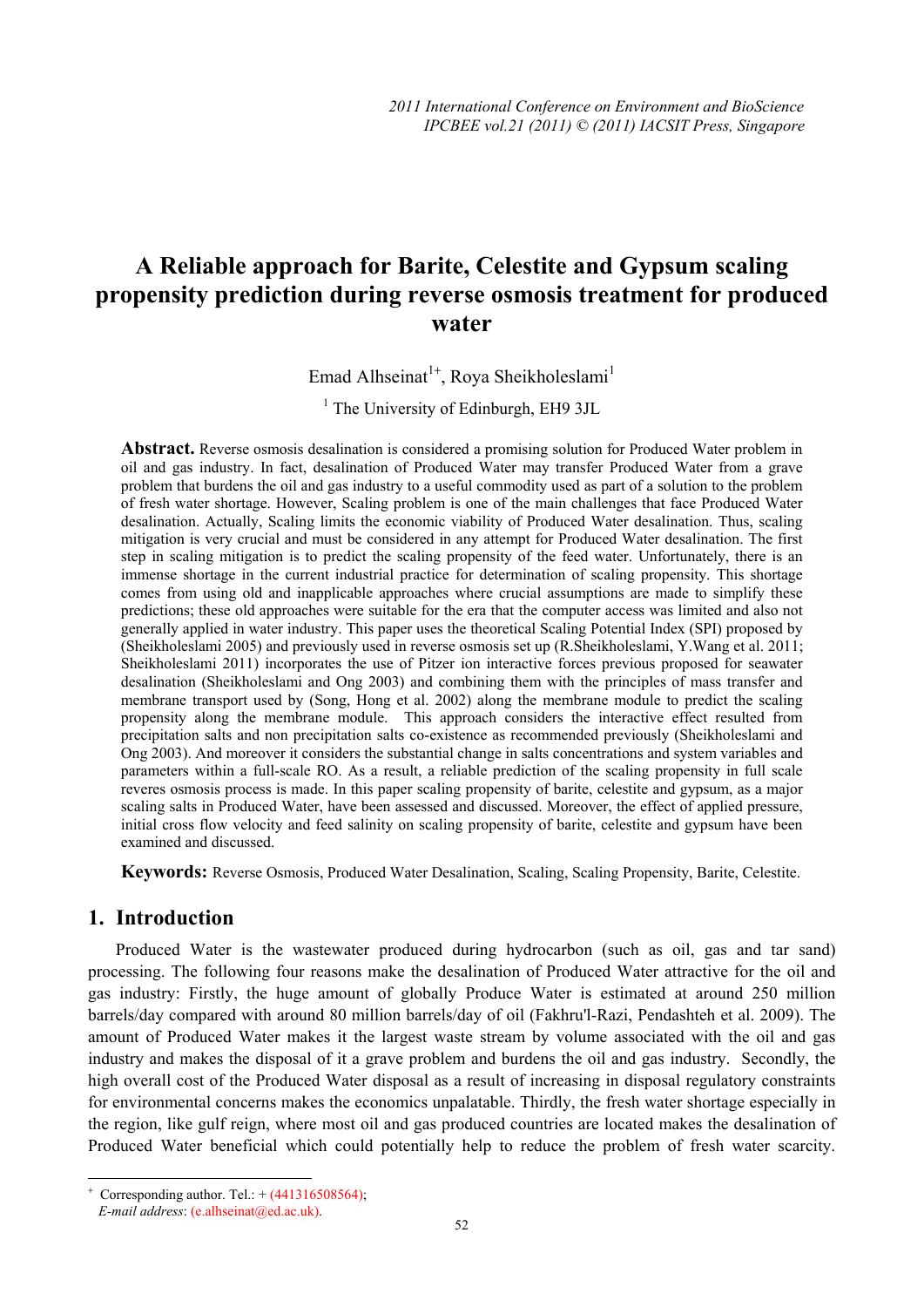# **A Reliable approach for Barite, Celestite and Gypsum scaling propensity prediction during reverse osmosis treatment for produced water**

Emad Alhseinat<sup>1+</sup>, Roya Sheikholeslami<sup>1</sup>

<sup>1</sup> The University of Edinburgh, EH9 3JL

**Abstract.** Reverse osmosis desalination is considered a promising solution for Produced Water problem in oil and gas industry. In fact, desalination of Produced Water may transfer Produced Water from a grave problem that burdens the oil and gas industry to a useful commodity used as part of a solution to the problem of fresh water shortage. However, Scaling problem is one of the main challenges that face Produced Water desalination. Actually, Scaling limits the economic viability of Produced Water desalination. Thus, scaling mitigation is very crucial and must be considered in any attempt for Produced Water desalination. The first step in scaling mitigation is to predict the scaling propensity of the feed water. Unfortunately, there is an immense shortage in the current industrial practice for determination of scaling propensity. This shortage comes from using old and inapplicable approaches where crucial assumptions are made to simplify these predictions; these old approaches were suitable for the era that the computer access was limited and also not generally applied in water industry. This paper uses the theoretical Scaling Potential Index (SPI) proposed by (Sheikholeslami 2005) and previously used in reverse osmosis set up (R.Sheikholeslami, Y.Wang et al. 2011; Sheikholeslami 2011) incorporates the use of Pitzer ion interactive forces previous proposed for seawater desalination (Sheikholeslami and Ong 2003) and combining them with the principles of mass transfer and membrane transport used by (Song, Hong et al. 2002) along the membrane module to predict the scaling propensity along the membrane module. This approach considers the interactive effect resulted from precipitation salts and non precipitation salts co-existence as recommended previously (Sheikholeslami and Ong 2003). And moreover it considers the substantial change in salts concentrations and system variables and parameters within a full-scale RO. As a result, a reliable prediction of the scaling propensity in full scale reveres osmosis process is made. In this paper scaling propensity of barite, celestite and gypsum, as a major scaling salts in Produced Water, have been assessed and discussed. Moreover, the effect of applied pressure, initial cross flow velocity and feed salinity on scaling propensity of barite, celestite and gypsum have been examined and discussed.

**Keywords:** Reverse Osmosis, Produced Water Desalination, Scaling, Scaling Propensity, Barite, Celestite.

# **1. Introduction**

Produced Water is the wastewater produced during hydrocarbon (such as oil, gas and tar sand) processing. The following four reasons make the desalination of Produced Water attractive for the oil and gas industry: Firstly, the huge amount of globally Produce Water is estimated at around 250 million barrels/day compared with around 80 million barrels/day of oil (Fakhru'l-Razi, Pendashteh et al. 2009). The amount of Produced Water makes it the largest waste stream by volume associated with the oil and gas industry and makes the disposal of it a grave problem and burdens the oil and gas industry. Secondly, the high overall cost of the Produced Water disposal as a result of increasing in disposal regulatory constraints for environmental concerns makes the economics unpalatable. Thirdly, the fresh water shortage especially in the region, like gulf reign, where most oil and gas produced countries are located makes the desalination of Produced Water beneficial which could potentially help to reduce the problem of fresh water scarcity.

 $\overline{\phantom{a}}$ 

<sup>+</sup> Corresponding author. Tel.:  $+(441316508564)$ ;

*E-mail address*: (e.alhseinat@ed.ac.uk).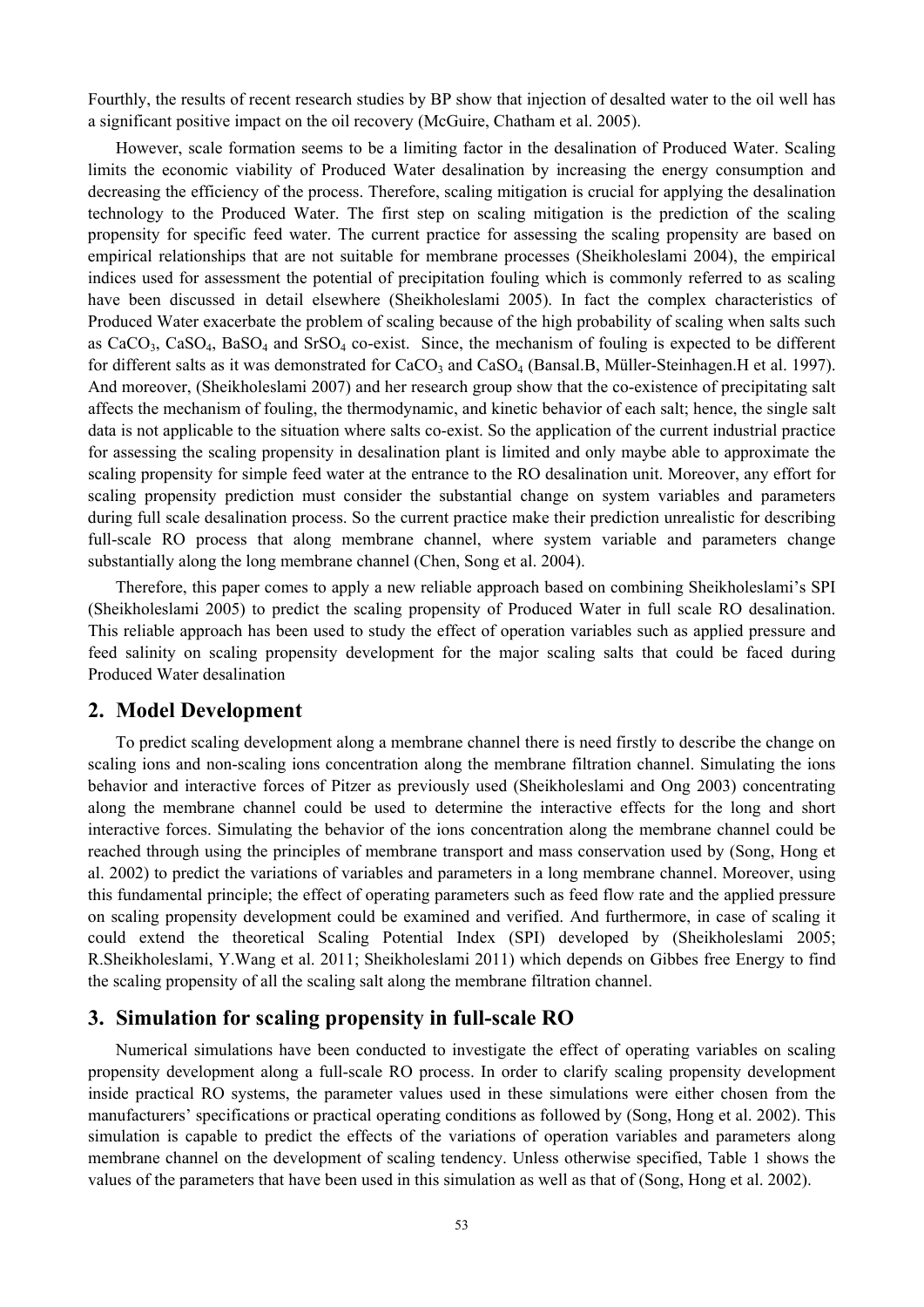Fourthly, the results of recent research studies by BP show that injection of desalted water to the oil well has a significant positive impact on the oil recovery (McGuire, Chatham et al. 2005).

However, scale formation seems to be a limiting factor in the desalination of Produced Water. Scaling limits the economic viability of Produced Water desalination by increasing the energy consumption and decreasing the efficiency of the process. Therefore, scaling mitigation is crucial for applying the desalination technology to the Produced Water. The first step on scaling mitigation is the prediction of the scaling propensity for specific feed water. The current practice for assessing the scaling propensity are based on empirical relationships that are not suitable for membrane processes (Sheikholeslami 2004), the empirical indices used for assessment the potential of precipitation fouling which is commonly referred to as scaling have been discussed in detail elsewhere (Sheikholeslami 2005). In fact the complex characteristics of Produced Water exacerbate the problem of scaling because of the high probability of scaling when salts such as  $CaCO<sub>3</sub>$ ,  $CaSO<sub>4</sub>$ ,  $BaSO<sub>4</sub>$  and  $SrSO<sub>4</sub>$  co-exist. Since, the mechanism of fouling is expected to be different for different salts as it was demonstrated for  $CaCO<sub>3</sub>$  and  $CaSO<sub>4</sub>$  (Bansal.B, Müller-Steinhagen.H et al. 1997). And moreover, (Sheikholeslami 2007) and her research group show that the co-existence of precipitating salt affects the mechanism of fouling, the thermodynamic, and kinetic behavior of each salt; hence, the single salt data is not applicable to the situation where salts co-exist. So the application of the current industrial practice for assessing the scaling propensity in desalination plant is limited and only maybe able to approximate the scaling propensity for simple feed water at the entrance to the RO desalination unit. Moreover, any effort for scaling propensity prediction must consider the substantial change on system variables and parameters during full scale desalination process. So the current practice make their prediction unrealistic for describing full-scale RO process that along membrane channel, where system variable and parameters change substantially along the long membrane channel (Chen, Song et al. 2004).

Therefore, this paper comes to apply a new reliable approach based on combining Sheikholeslami's SPI (Sheikholeslami 2005) to predict the scaling propensity of Produced Water in full scale RO desalination. This reliable approach has been used to study the effect of operation variables such as applied pressure and feed salinity on scaling propensity development for the major scaling salts that could be faced during Produced Water desalination

## **2. Model Development**

To predict scaling development along a membrane channel there is need firstly to describe the change on scaling ions and non-scaling ions concentration along the membrane filtration channel. Simulating the ions behavior and interactive forces of Pitzer as previously used (Sheikholeslami and Ong 2003) concentrating along the membrane channel could be used to determine the interactive effects for the long and short interactive forces. Simulating the behavior of the ions concentration along the membrane channel could be reached through using the principles of membrane transport and mass conservation used by (Song, Hong et al. 2002) to predict the variations of variables and parameters in a long membrane channel. Moreover, using this fundamental principle; the effect of operating parameters such as feed flow rate and the applied pressure on scaling propensity development could be examined and verified. And furthermore, in case of scaling it could extend the theoretical Scaling Potential Index (SPI) developed by (Sheikholeslami 2005; R.Sheikholeslami, Y.Wang et al. 2011; Sheikholeslami 2011) which depends on Gibbes free Energy to find the scaling propensity of all the scaling salt along the membrane filtration channel.

## **3. Simulation for scaling propensity in full-scale RO**

Numerical simulations have been conducted to investigate the effect of operating variables on scaling propensity development along a full-scale RO process. In order to clarify scaling propensity development inside practical RO systems, the parameter values used in these simulations were either chosen from the manufacturers' specifications or practical operating conditions as followed by (Song, Hong et al. 2002). This simulation is capable to predict the effects of the variations of operation variables and parameters along membrane channel on the development of scaling tendency. Unless otherwise specified, Table 1 shows the values of the parameters that have been used in this simulation as well as that of (Song, Hong et al. 2002).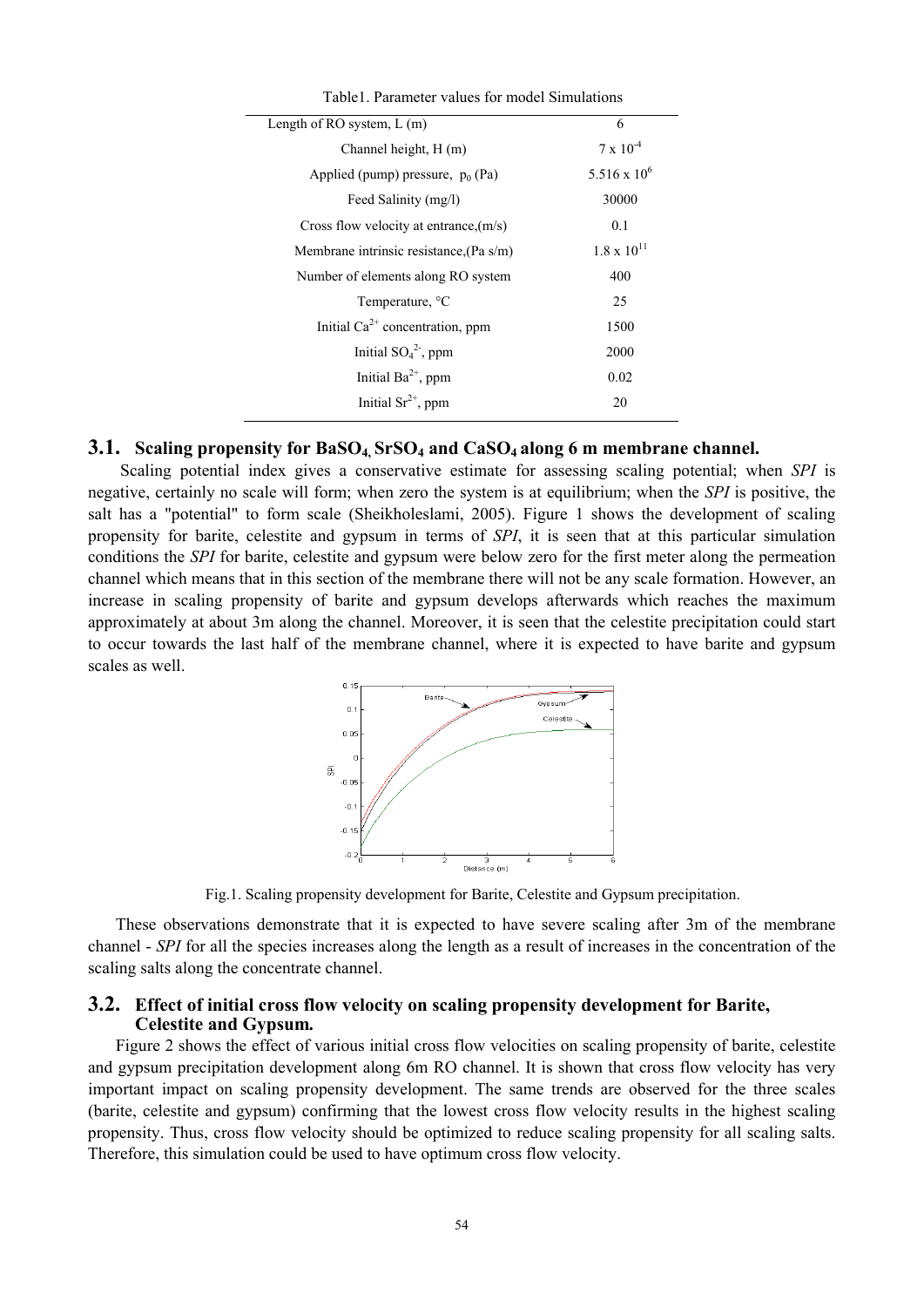| Table 1. Parameter values for model Simulations |  |
|-------------------------------------------------|--|
| 6                                               |  |
| $7 \times 10^{-4}$                              |  |
| $5.516 \times 10^6$                             |  |
| 30000                                           |  |
| 0.1                                             |  |
| $1.8 \times 10^{11}$                            |  |
| 400                                             |  |
| 25                                              |  |
| 1500                                            |  |
| 2000                                            |  |
| 0.02                                            |  |
| 20                                              |  |
|                                                 |  |

## **3.1. Scaling propensity for BaSO4, SrSO4 and CaSO4 along 6 m membrane channel.**

Scaling potential index gives a conservative estimate for assessing scaling potential; when *SPI* is negative, certainly no scale will form; when zero the system is at equilibrium; when the *SPI* is positive, the salt has a "potential" to form scale (Sheikholeslami, 2005). Figure 1 shows the development of scaling propensity for barite, celestite and gypsum in terms of *SPI*, it is seen that at this particular simulation conditions the *SPI* for barite, celestite and gypsum were below zero for the first meter along the permeation channel which means that in this section of the membrane there will not be any scale formation. However, an increase in scaling propensity of barite and gypsum develops afterwards which reaches the maximum approximately at about 3m along the channel. Moreover, it is seen that the celestite precipitation could start to occur towards the last half of the membrane channel, where it is expected to have barite and gypsum scales as well.



Fig.1. Scaling propensity development for Barite, Celestite and Gypsum precipitation.

These observations demonstrate that it is expected to have severe scaling after 3m of the membrane channel - *SPI* for all the species increases along the length as a result of increases in the concentration of the scaling salts along the concentrate channel.

#### **3.2. Effect of initial cross flow velocity on scaling propensity development for Barite, Celestite and Gypsum***.*

Figure 2 shows the effect of various initial cross flow velocities on scaling propensity of barite, celestite and gypsum precipitation development along 6m RO channel. It is shown that cross flow velocity has very important impact on scaling propensity development. The same trends are observed for the three scales (barite, celestite and gypsum) confirming that the lowest cross flow velocity results in the highest scaling propensity. Thus, cross flow velocity should be optimized to reduce scaling propensity for all scaling salts. Therefore, this simulation could be used to have optimum cross flow velocity.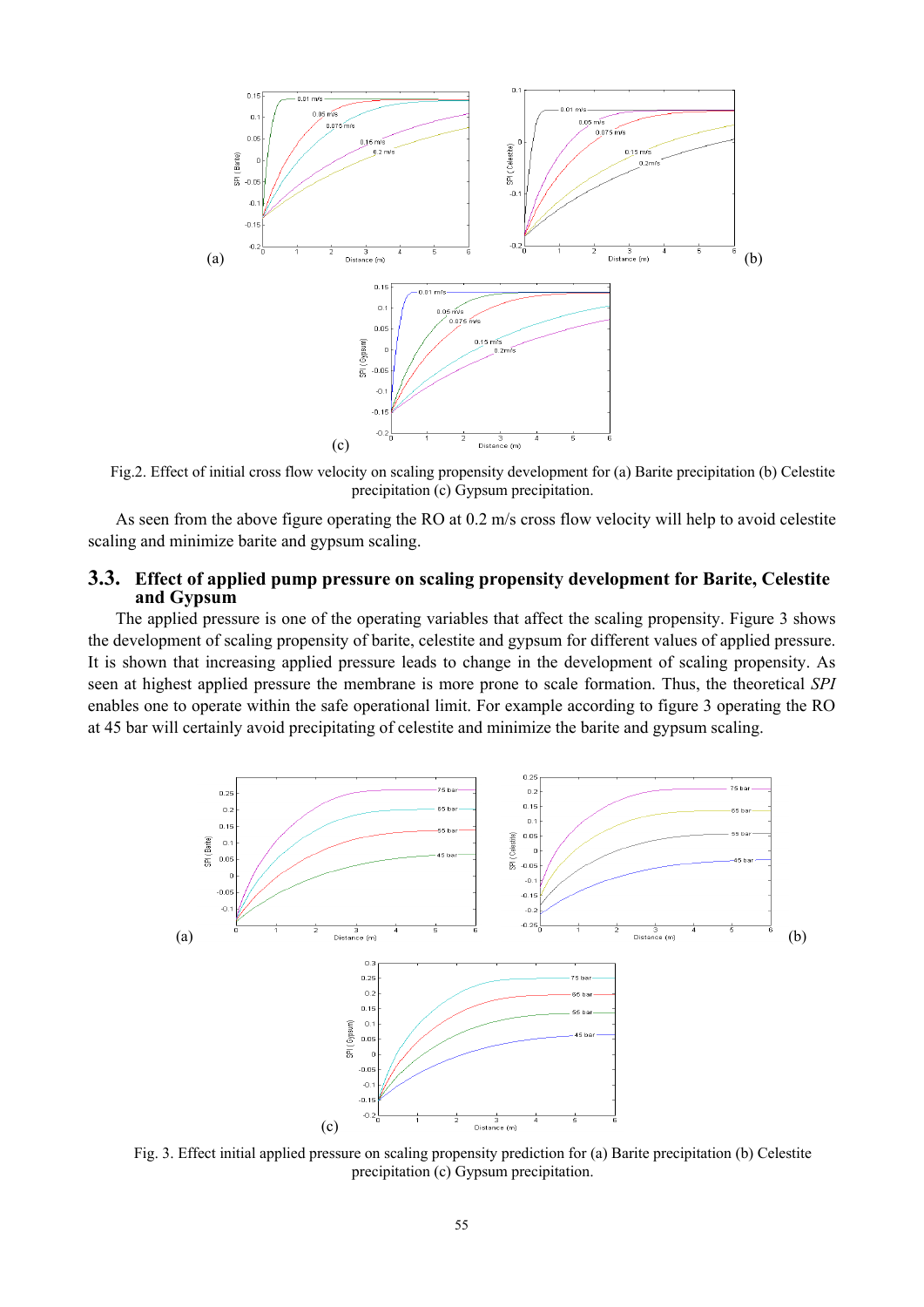

Fig.2. Effect of initial cross flow velocity on scaling propensity development for (a) Barite precipitation (b) Celestite precipitation (c) Gypsum precipitation.

As seen from the above figure operating the RO at 0.2 m/s cross flow velocity will help to avoid celestite scaling and minimize barite and gypsum scaling.

### **3.3. Effect of applied pump pressure on scaling propensity development for Barite, Celestite and Gypsum**

The applied pressure is one of the operating variables that affect the scaling propensity. Figure 3 shows the development of scaling propensity of barite, celestite and gypsum for different values of applied pressure. It is shown that increasing applied pressure leads to change in the development of scaling propensity. As seen at highest applied pressure the membrane is more prone to scale formation. Thus, the theoretical *SPI* enables one to operate within the safe operational limit. For example according to figure 3 operating the RO at 45 bar will certainly avoid precipitating of celestite and minimize the barite and gypsum scaling.



Fig. 3. Effect initial applied pressure on scaling propensity prediction for (a) Barite precipitation (b) Celestite precipitation (c) Gypsum precipitation.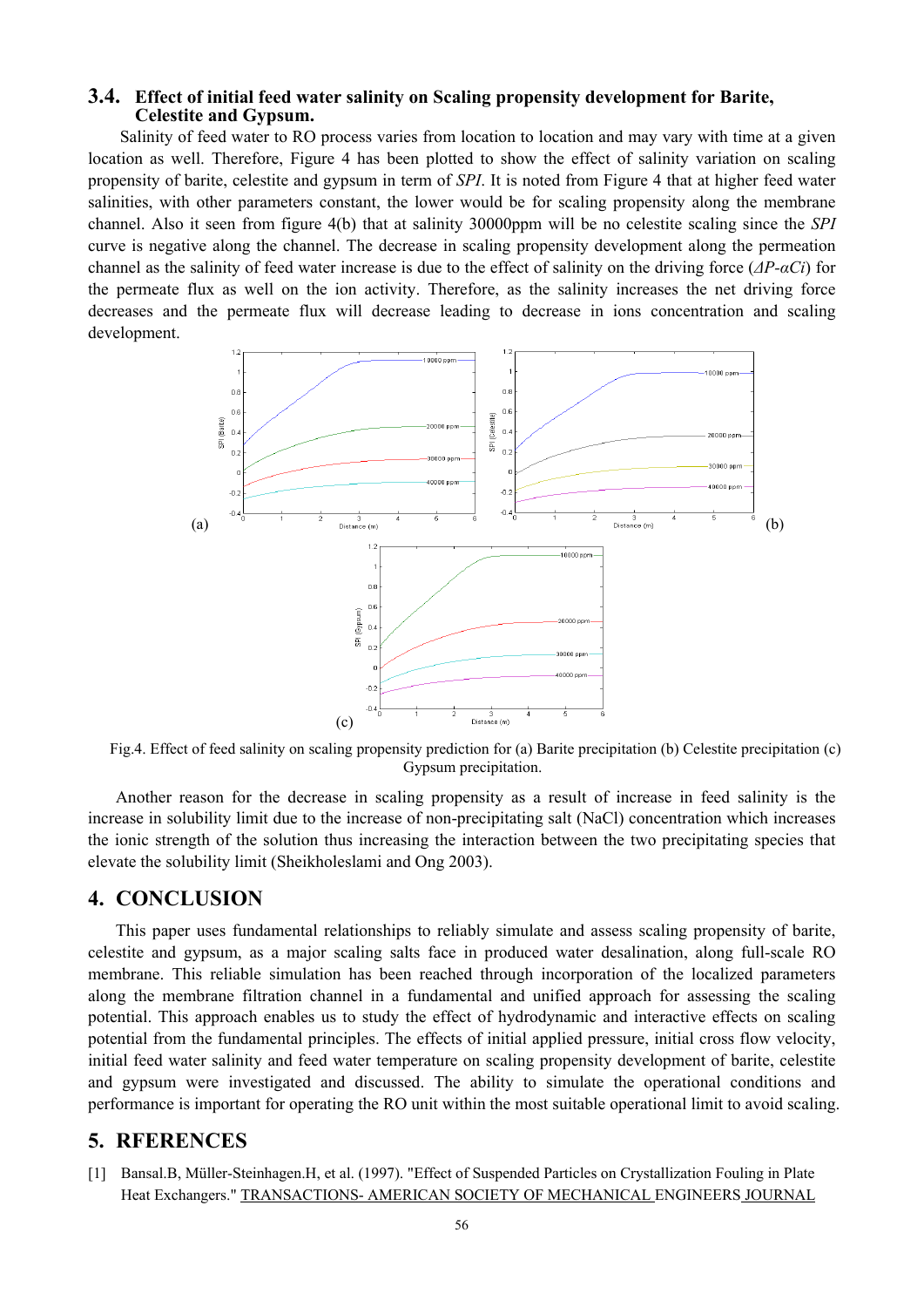## **3.4. Effect of initial feed water salinity on Scaling propensity development for Barite, Celestite and Gypsum.**

 Salinity of feed water to RO process varies from location to location and may vary with time at a given location as well. Therefore, Figure 4 has been plotted to show the effect of salinity variation on scaling propensity of barite, celestite and gypsum in term of *SPI*. It is noted from Figure 4 that at higher feed water salinities, with other parameters constant, the lower would be for scaling propensity along the membrane channel. Also it seen from figure 4(b) that at salinity 30000ppm will be no celestite scaling since the *SPI*  curve is negative along the channel. The decrease in scaling propensity development along the permeation channel as the salinity of feed water increase is due to the effect of salinity on the driving force (*ΔP-αCi*) for the permeate flux as well on the ion activity. Therefore, as the salinity increases the net driving force decreases and the permeate flux will decrease leading to decrease in ions concentration and scaling development.



Fig.4. Effect of feed salinity on scaling propensity prediction for (a) Barite precipitation (b) Celestite precipitation (c) Gypsum precipitation.

Another reason for the decrease in scaling propensity as a result of increase in feed salinity is the increase in solubility limit due to the increase of non-precipitating salt (NaCl) concentration which increases the ionic strength of the solution thus increasing the interaction between the two precipitating species that elevate the solubility limit (Sheikholeslami and Ong 2003).

# **4. CONCLUSION**

This paper uses fundamental relationships to reliably simulate and assess scaling propensity of barite, celestite and gypsum, as a major scaling salts face in produced water desalination, along full-scale RO membrane. This reliable simulation has been reached through incorporation of the localized parameters along the membrane filtration channel in a fundamental and unified approach for assessing the scaling potential. This approach enables us to study the effect of hydrodynamic and interactive effects on scaling potential from the fundamental principles. The effects of initial applied pressure, initial cross flow velocity, initial feed water salinity and feed water temperature on scaling propensity development of barite, celestite and gypsum were investigated and discussed. The ability to simulate the operational conditions and performance is important for operating the RO unit within the most suitable operational limit to avoid scaling.

## **5. RFERENCES**

[1] Bansal.B, Müller-Steinhagen.H, et al. (1997). "Effect of Suspended Particles on Crystallization Fouling in Plate Heat Exchangers." TRANSACTIONS- AMERICAN SOCIETY OF MECHANICAL ENGINEERS JOURNAL